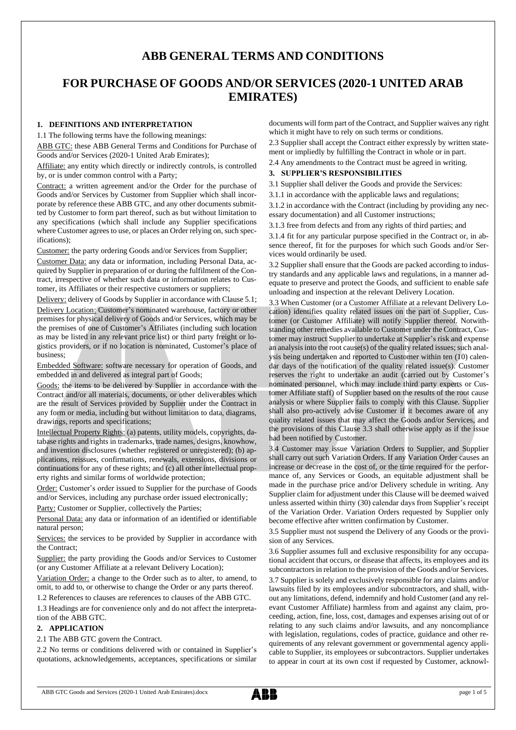# **ABB GENERAL TERMS AND CONDITIONS**

# **FOR PURCHASE OF GOODS AND/OR SERVICES (2020-1 UNITED ARAB EMIRATES)**

## **1. DEFINITIONS AND INTERPRETATION**

1.1 The following terms have the following meanings:

ABB GTC: these ABB General Terms and Conditions for Purchase of Goods and/or Services (2020-1 United Arab Emirates);

Affiliate: any entity which directly or indirectly controls, is controlled by, or is under common control with a Party;

Contract: a written agreement and/or the Order for the purchase of Goods and/or Services by Customer from Supplier which shall incorporate by reference these ABB GTC, and any other documents submitted by Customer to form part thereof, such as but without limitation to any specifications (which shall include any Supplier specifications where Customer agrees to use, or places an Order relying on, such specifications);

Customer: the party ordering Goods and/or Services from Supplier;

Customer Data: any data or information, including Personal Data, acquired by Supplier in preparation of or during the fulfilment of the Contract, irrespective of whether such data or information relates to Customer, its Affiliates or their respective customers or suppliers;

Delivery: delivery of Goods by Supplier in accordance with Clause 5.1;

Delivery Location: Customer's nominated warehouse, factory or other premises for physical delivery of Goods and/or Services, which may be the premises of one of Customer's Affiliates (including such location as may be listed in any relevant price list) or third party freight or logistics providers, or if no location is nominated, Customer's place of business;

Embedded Software: software necessary for operation of Goods, and embedded in and delivered as integral part of Goods;

Goods: the items to be delivered by Supplier in accordance with the Contract and/or all materials, documents, or other deliverables which are the result of Services provided by Supplier under the Contract in any form or media, including but without limitation to data, diagrams, drawings, reports and specifications;

Intellectual Property Rights: (a) patents, utility models, copyrights, database rights and rights in trademarks, trade names, designs, knowhow, and invention disclosures (whether registered or unregistered); (b) applications, reissues, confirmations, renewals, extensions, divisions or continuations for any of these rights; and (c) all other intellectual property rights and similar forms of worldwide protection;

Order: Customer's order issued to Supplier for the purchase of Goods and/or Services, including any purchase order issued electronically;

Party: Customer or Supplier, collectively the Parties;

Personal Data: any data or information of an identified or identifiable natural person;

Services: the services to be provided by Supplier in accordance with the Contract;

Supplier: the party providing the Goods and/or Services to Customer (or any Customer Affiliate at a relevant Delivery Location);

Variation Order: a change to the Order such as to alter, to amend, to omit, to add to, or otherwise to change the Order or any parts thereof.

1.2 References to clauses are references to clauses of the ABB GTC.

1.3 Headings are for convenience only and do not affect the interpretation of the ABB GTC.

## **2. APPLICATION**

2.1 The ABB GTC govern the Contract.

2.2 No terms or conditions delivered with or contained in Supplier's quotations, acknowledgements, acceptances, specifications or similar documents will form part of the Contract, and Supplier waives any right which it might have to rely on such terms or conditions.

2.3 Supplier shall accept the Contract either expressly by written statement or impliedly by fulfilling the Contract in whole or in part.

2.4 Any amendments to the Contract must be agreed in writing.

## **3. SUPPLIER'S RESPONSIBILITIES**

3.1 Supplier shall deliver the Goods and provide the Services:

3.1.1 in accordance with the applicable laws and regulations;

3.1.2 in accordance with the Contract (including by providing any necessary documentation) and all Customer instructions;

3.1.3 free from defects and from any rights of third parties; and

3.1.4 fit for any particular purpose specified in the Contract or, in absence thereof, fit for the purposes for which such Goods and/or Services would ordinarily be used.

3.2 Supplier shall ensure that the Goods are packed according to industry standards and any applicable laws and regulations, in a manner adequate to preserve and protect the Goods, and sufficient to enable safe unloading and inspection at the relevant Delivery Location.

3.3 When Customer (or a Customer Affiliate at a relevant Delivery Location) identifies quality related issues on the part of Supplier, Customer (or Customer Affiliate) will notify Supplier thereof. Notwithstanding other remedies available to Customer under the Contract, Customer may instruct Supplier to undertake at Supplier's risk and expense an analysis into the root cause(s) of the quality related issues; such analysis being undertaken and reported to Customer within ten (10) calendar days of the notification of the quality related issue(s). Customer reserves the right to undertake an audit (carried out by Customer's nominated personnel, which may include third party experts or Customer Affiliate staff) of Supplier based on the results of the root cause analysis or where Supplier fails to comply with this Clause. Supplier shall also pro-actively advise Customer if it becomes aware of any quality related issues that may affect the Goods and/or Services, and the provisions of this Clause 3.3 shall otherwise apply as if the issue had been notified by Customer.

3.4 Customer may issue Variation Orders to Supplier, and Supplier shall carry out such Variation Orders. If any Variation Order causes an increase or decrease in the cost of, or the time required for the performance of, any Services or Goods, an equitable adjustment shall be made in the purchase price and/or Delivery schedule in writing. Any Supplier claim for adjustment under this Clause will be deemed waived unless asserted within thirty (30) calendar days from Supplier's receipt of the Variation Order. Variation Orders requested by Supplier only become effective after written confirmation by Customer.

3.5 Supplier must not suspend the Delivery of any Goods or the provision of any Services.

3.6 Supplier assumes full and exclusive responsibility for any occupational accident that occurs, or disease that affects, its employees and its subcontractors in relation to the provision of the Goods and/or Services. 3.7 Supplier is solely and exclusively responsible for any claims and/or lawsuits filed by its employees and/or subcontractors, and shall, without any limitations, defend, indemnify and hold Customer (and any relevant Customer Affiliate) harmless from and against any claim, proceeding, action, fine, loss, cost, damages and expenses arising out of or relating to any such claims and/or lawsuits, and any noncompliance with legislation, regulations, codes of practice, guidance and other requirements of any relevant government or governmental agency applicable to Supplier, its employees or subcontractors. Supplier undertakes to appear in court at its own cost if requested by Customer, acknowl-

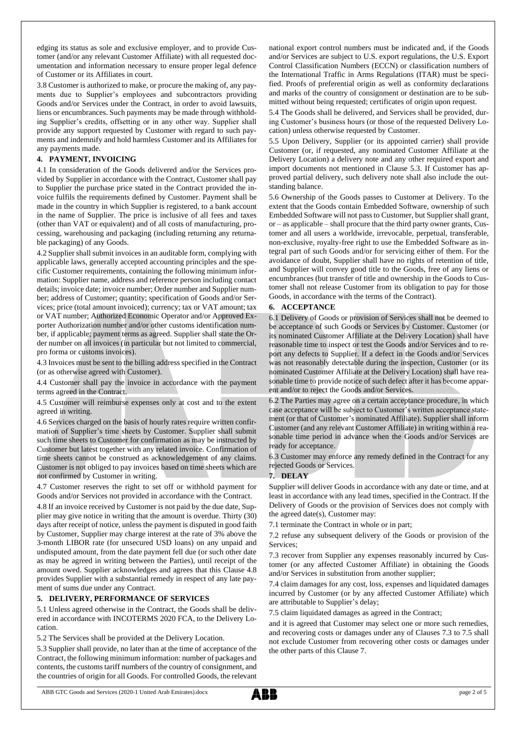edging its status as sole and exclusive employer, and to provide Customer (and/or any relevant Customer Affiliate) with all requested documentation and information necessary to ensure proper legal defence of Customer or its Affiliates in court.

3.8 Customer is authorized to make, or procure the making of, any payments due to Supplier's employees and subcontractors providing Goods and/or Services under the Contract, in order to avoid lawsuits, liens or encumbrances. Such payments may be made through withholding Supplier's credits, offsetting or in any other way. Supplier shall provide any support requested by Customer with regard to such payments and indemnify and hold harmless Customer and its Affiliates for any payments made.

## **4. PAYMENT, INVOICING**

4.1 In consideration of the Goods delivered and/or the Services provided by Supplier in accordance with the Contract, Customer shall pay to Supplier the purchase price stated in the Contract provided the invoice fulfils the requirements defined by Customer. Payment shall be made in the country in which Supplier is registered, to a bank account in the name of Supplier. The price is inclusive of all fees and taxes (other than VAT or equivalent) and of all costs of manufacturing, processing, warehousing and packaging (including returning any returnable packaging) of any Goods.

4.2 Supplier shall submit invoices in an auditable form, complying with applicable laws, generally accepted accounting principles and the specific Customer requirements, containing the following minimum information: Supplier name, address and reference person including contact details; invoice date; invoice number; Order number and Supplier number; address of Customer; quantity; specification of Goods and/or Services; price (total amount invoiced); currency; tax or VAT amount; tax or VAT number; Authorized Economic Operator and/or Approved Exporter Authorization number and/or other customs identification number, if applicable; payment terms as agreed. Supplier shall state the Order number on all invoices (in particular but not limited to commercial, pro forma or customs invoices).

4.3 Invoices must be sent to the billing address specified in the Contract (or as otherwise agreed with Customer).

4.4 Customer shall pay the invoice in accordance with the payment terms agreed in the Contract.

4.5 Customer will reimburse expenses only at cost and to the extent agreed in writing.

4.6 Services charged on the basis of hourly rates require written confirmation of Supplier's time sheets by Customer. Supplier shall submit such time sheets to Customer for confirmation as may be instructed by Customer but latest together with any related invoice. Confirmation of time sheets cannot be construed as acknowledgement of any claims. Customer is not obliged to pay invoices based on time sheets which are not confirmed by Customer in writing.

4.7 Customer reserves the right to set off or withhold payment for Goods and/or Services not provided in accordance with the Contract.

4.8 If an invoice received by Customer is not paid by the due date, Supplier may give notice in writing that the amount is overdue. Thirty (30) days after receipt of notice, unless the payment is disputed in good faith by Customer, Supplier may charge interest at the rate of 3% above the 3-month LIBOR rate (for unsecured USD loans) on any unpaid and undisputed amount, from the date payment fell due (or such other date as may be agreed in writing between the Parties), until receipt of the amount owed. Supplier acknowledges and agrees that this Clause 4.8 provides Supplier with a substantial remedy in respect of any late payment of sums due under any Contract.

## **5. DELIVERY, PERFORMANCE OF SERVICES**

5.1 Unless agreed otherwise in the Contract, the Goods shall be delivered in accordance with INCOTERMS 2020 FCA, to the Delivery Location.

5.2 The Services shall be provided at the Delivery Location.

5.3 Supplier shall provide, no later than at the time of acceptance of the Contract, the following minimum information: number of packages and contents, the customs tariff numbers of the country of consignment, and the countries of origin for all Goods. For controlled Goods, the relevant national export control numbers must be indicated and, if the Goods and/or Services are subject to U.S. export regulations, the U.S. Export Control Classification Numbers (ECCN) or classification numbers of the International Traffic in Arms Regulations (ITAR) must be specified. Proofs of preferential origin as well as conformity declarations and marks of the country of consignment or destination are to be submitted without being requested; certificates of origin upon request.

5.4 The Goods shall be delivered, and Services shall be provided, during Customer's business hours (or those of the requested Delivery Location) unless otherwise requested by Customer.

5.5 Upon Delivery, Supplier (or its appointed carrier) shall provide Customer (or, if requested, any nominated Customer Affiliate at the Delivery Location) a delivery note and any other required export and import documents not mentioned in Clause 5.3. If Customer has approved partial delivery, such delivery note shall also include the outstanding balance.

5.6 Ownership of the Goods passes to Customer at Delivery. To the extent that the Goods contain Embedded Software, ownership of such Embedded Software will not passto Customer, but Supplier shall grant, or – as applicable – shall procure that the third party owner grants, Customer and all users a worldwide, irrevocable, perpetual, transferable, non-exclusive, royalty-free right to use the Embedded Software as integral part of such Goods and/or for servicing either of them. For the avoidance of doubt, Supplier shall have no rights of retention of title, and Supplier will convey good title to the Goods, free of any liens or encumbrances (but transfer of title and ownership in the Goods to Customer shall not release Customer from its obligation to pay for those Goods, in accordance with the terms of the Contract).

## **6. ACCEPTANCE**

6.1 Delivery of Goods or provision of Services shall not be deemed to be acceptance of such Goods or Services by Customer. Customer (or its nominated Customer Affiliate at the Delivery Location) shall have reasonable time to inspect or test the Goods and/or Services and to report any defects to Supplier. If a defect in the Goods and/or Services was not reasonably detectable during the inspection, Customer (or its nominated Customer Affiliate at the Delivery Location) shall have reasonable time to provide notice of such defect after it has become apparent and/or to reject the Goods and/or Services.

6.2 The Parties may agree on a certain acceptance procedure, in which case acceptance will be subject to Customer's written acceptance statement (or that of Customer's nominated Affiliate). Supplier shall inform Customer (and any relevant Customer Affiliate) in writing within a reasonable time period in advance when the Goods and/or Services are ready for acceptance.

6.3 Customer may enforce any remedy defined in the Contract for any rejected Goods or Services.

#### **7. DELAY**

Supplier will deliver Goods in accordance with any date or time, and at least in accordance with any lead times, specified in the Contract. If the Delivery of Goods or the provision of Services does not comply with the agreed date(s), Customer may:

7.1 terminate the Contract in whole or in part;

7.2 refuse any subsequent delivery of the Goods or provision of the Services;

7.3 recover from Supplier any expenses reasonably incurred by Customer (or any affected Customer Affiliate) in obtaining the Goods and/or Services in substitution from another supplier;

7.4 claim damages for any cost, loss, expenses and liquidated damages incurred by Customer (or by any affected Customer Affiliate) which are attributable to Supplier's delay;

7.5 claim liquidated damages as agreed in the Contract;

and it is agreed that Customer may select one or more such remedies, and recovering costs or damages under any of Clauses 7.3 to 7.5 shall not exclude Customer from recovering other costs or damages under the other parts of this Clause 7.

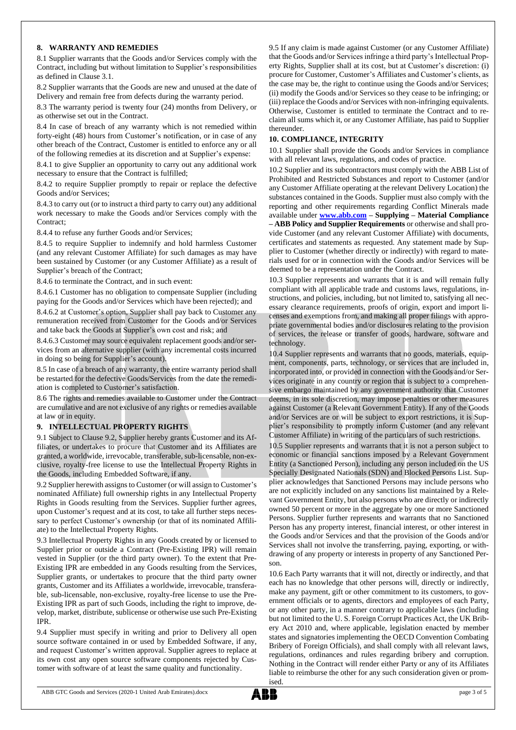## **8. WARRANTY AND REMEDIES**

8.1 Supplier warrants that the Goods and/or Services comply with the Contract, including but without limitation to Supplier's responsibilities as defined in Clause 3.1.

8.2 Supplier warrants that the Goods are new and unused at the date of Delivery and remain free from defects during the warranty period.

8.3 The warranty period is twenty four (24) months from Delivery, or as otherwise set out in the Contract.

8.4 In case of breach of any warranty which is not remedied within forty-eight (48) hours from Customer's notification, or in case of any other breach of the Contract, Customer is entitled to enforce any or all of the following remedies at its discretion and at Supplier's expense:

8.4.1 to give Supplier an opportunity to carry out any additional work necessary to ensure that the Contract is fulfilled;

8.4.2 to require Supplier promptly to repair or replace the defective Goods and/or Services;

8.4.3 to carry out (or to instruct a third party to carry out) any additional work necessary to make the Goods and/or Services comply with the Contract;

8.4.4 to refuse any further Goods and/or Services;

8.4.5 to require Supplier to indemnify and hold harmless Customer (and any relevant Customer Affiliate) for such damages as may have been sustained by Customer (or any Customer Affiliate) as a result of Supplier's breach of the Contract;

8.4.6 to terminate the Contract, and in such event:

8.4.6.1 Customer has no obligation to compensate Supplier (including paying for the Goods and/or Services which have been rejected); and

8.4.6.2 at Customer's option, Supplier shall pay back to Customer any remuneration received from Customer for the Goods and/or Services and take back the Goods at Supplier's own cost and risk; and

8.4.6.3 Customer may source equivalent replacement goods and/or services from an alternative supplier (with any incremental costs incurred in doing so being for Supplier's account).

8.5 In case of a breach of any warranty, the entire warranty period shall be restarted for the defective Goods/Services from the date the remediation is completed to Customer's satisfaction.

8.6 The rights and remedies available to Customer under the Contract are cumulative and are not exclusive of any rights or remedies available at law or in equity.

## **9. INTELLECTUAL PROPERTY RIGHTS**

9.1 Subject to Clause 9.2, Supplier hereby grants Customer and its Affiliates, or undertakes to procure that Customer and its Affiliates are granted, a worldwide, irrevocable, transferable, sub-licensable, non-exclusive, royalty-free license to use the Intellectual Property Rights in the Goods, including Embedded Software, if any.

9.2 Supplier herewith assigns to Customer (or will assign to Customer's nominated Affiliate) full ownership rights in any Intellectual Property Rights in Goods resulting from the Services. Supplier further agrees, upon Customer's request and at its cost, to take all further steps necessary to perfect Customer's ownership (or that of its nominated Affiliate) to the Intellectual Property Rights.

9.3 Intellectual Property Rights in any Goods created by or licensed to Supplier prior or outside a Contract (Pre-Existing IPR) will remain vested in Supplier (or the third party owner). To the extent that Pre-Existing IPR are embedded in any Goods resulting from the Services, Supplier grants, or undertakes to procure that the third party owner grants, Customer and its Affiliates a worldwide, irrevocable, transferable, sub-licensable, non-exclusive, royalty-free license to use the Pre-Existing IPR as part of such Goods, including the right to improve, develop, market, distribute, sublicense or otherwise use such Pre-Existing IPR.

9.4 Supplier must specify in writing and prior to Delivery all open source software contained in or used by Embedded Software, if any, and request Customer's written approval. Supplier agrees to replace at its own cost any open source software components rejected by Customer with software of at least the same quality and functionality.

9.5 If any claim is made against Customer (or any Customer Affiliate) that the Goods and/or Services infringe a third party's Intellectual Property Rights, Supplier shall at its cost, but at Customer's discretion: (i) procure for Customer, Customer's Affiliates and Customer's clients, as the case may be, the right to continue using the Goods and/or Services; (ii) modify the Goods and/or Services so they cease to be infringing; or (iii) replace the Goods and/or Services with non-infringing equivalents. Otherwise, Customer is entitled to terminate the Contract and to reclaim all sums which it, or any Customer Affiliate, has paid to Supplier thereunder.

## **10. COMPLIANCE, INTEGRITY**

10.1 Supplier shall provide the Goods and/or Services in compliance with all relevant laws, regulations, and codes of practice.

10.2 Supplier and its subcontractors must comply with the ABB List of Prohibited and Restricted Substances and report to Customer (and/or any Customer Affiliate operating at the relevant Delivery Location) the substances contained in the Goods. Supplier must also comply with the reporting and other requirements regarding Conflict Minerals made available under **[www.abb.com](http://www.abb.com/) – Supplying – Material Compliance – ABB Policy and Supplier Requirements** or otherwise and shall provide Customer (and any relevant Customer Affiliate) with documents, certificates and statements as requested. Any statement made by Supplier to Customer (whether directly or indirectly) with regard to materials used for or in connection with the Goods and/or Services will be deemed to be a representation under the Contract.

10.3 Supplier represents and warrants that it is and will remain fully compliant with all applicable trade and customs laws, regulations, instructions, and policies, including, but not limited to, satisfying all necessary clearance requirements, proofs of origin, export and import licenses and exemptions from, and making all proper filings with appropriate governmental bodies and/or disclosures relating to the provision of services, the release or transfer of goods, hardware, software and technology.

10.4 Supplier represents and warrants that no goods, materials, equipment, components, parts, technology, or services that are included in, incorporated into, or provided in connection with the Goods and/or Services originate in any country or region that is subject to a comprehensive embargo maintained by any government authority that Customer deems, in its sole discretion, may impose penalties or other measures against Customer (a Relevant Government Entity). If any of the Goods and/or Services are or will be subject to export restrictions, it is Supplier's responsibility to promptly inform Customer (and any relevant Customer Affiliate) in writing of the particulars of such restrictions.

10.5 Supplier represents and warrants that it is not a person subject to economic or financial sanctions imposed by a Relevant Government Entity (a Sanctioned Person), including any person included on the US Specially Designated Nationals (SDN) and Blocked Persons List. Supplier acknowledges that Sanctioned Persons may include persons who are not explicitly included on any sanctions list maintained by a Relevant Government Entity, but also persons who are directly or indirectly owned 50 percent or more in the aggregate by one or more Sanctioned Persons. Supplier further represents and warrants that no Sanctioned Person has any property interest, financial interest, or other interest in the Goods and/or Services and that the provision of the Goods and/or Services shall not involve the transferring, paying, exporting, or withdrawing of any property or interests in property of any Sanctioned Person.

10.6 Each Party warrants that it will not, directly or indirectly, and that each has no knowledge that other persons will, directly or indirectly, make any payment, gift or other commitment to its customers, to government officials or to agents, directors and employees of each Party, or any other party, in a manner contrary to applicable laws (including but not limited to the U. S. Foreign Corrupt Practices Act, the UK Bribery Act 2010 and, where applicable, legislation enacted by member states and signatories implementing the OECD Convention Combating Bribery of Foreign Officials), and shall comply with all relevant laws, regulations, ordinances and rules regarding bribery and corruption. Nothing in the Contract will render either Party or any of its Affiliates liable to reimburse the other for any such consideration given or promised.

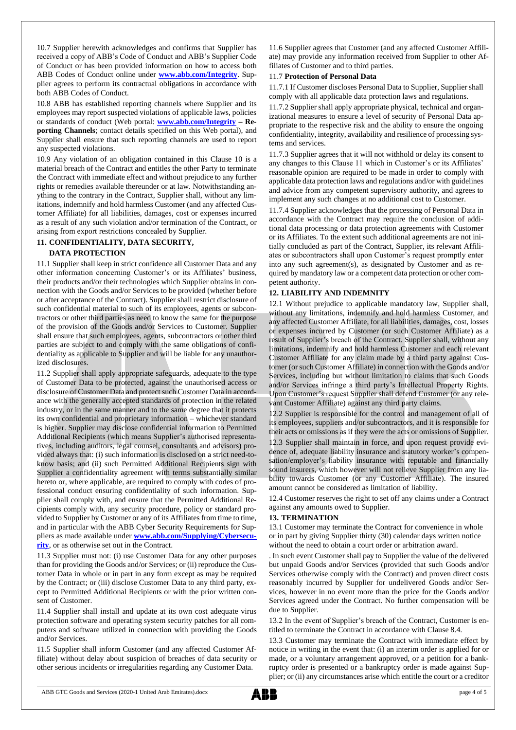10.7 Supplier herewith acknowledges and confirms that Supplier has received a copy of ABB's Code of Conduct and ABB's Supplier Code of Conduct or has been provided information on how to access both ABB Codes of Conduct online under **[www.abb.com/Integrity](http://www.abb.com/Integrity)**. Supplier agrees to perform its contractual obligations in accordance with both ABB Codes of Conduct.

10.8 ABB has established reporting channels where Supplier and its employees may report suspected violations of applicable laws, policies or standards of conduct (Web portal: **[www.abb.com/Integrity](http://www.abb.com/Integrity) – Reporting Channels**; contact details specified on this Web portal), and Supplier shall ensure that such reporting channels are used to report any suspected violations.

10.9 Any violation of an obligation contained in this Clause 10 is a material breach of the Contract and entitles the other Party to terminate the Contract with immediate effect and without prejudice to any further rights or remedies available thereunder or at law. Notwithstanding anything to the contrary in the Contract, Supplier shall, without any limitations, indemnify and hold harmless Customer (and any affected Customer Affiliate) for all liabilities, damages, cost or expenses incurred as a result of any such violation and/or termination of the Contract, or arising from export restrictions concealed by Supplier.

## **11. CONFIDENTIALITY, DATA SECURITY, DATA PROTECTION**

11.1 Supplier shall keep in strict confidence all Customer Data and any other information concerning Customer's or its Affiliates' business, their products and/or their technologies which Supplier obtains in connection with the Goods and/or Services to be provided (whether before or after acceptance of the Contract). Supplier shall restrict disclosure of such confidential material to such of its employees, agents or subcontractors or other third parties as need to know the same for the purpose of the provision of the Goods and/or Services to Customer. Supplier shall ensure that such employees, agents, subcontractors or other third parties are subject to and comply with the same obligations of confidentiality as applicable to Supplier and will be liable for any unauthorized disclosures.

11.2 Supplier shall apply appropriate safeguards, adequate to the type of Customer Data to be protected, against the unauthorised access or disclosure of Customer Data and protect such Customer Data in accordance with the generally accepted standards of protection in the related industry, or in the same manner and to the same degree that it protects its own confidential and proprietary information – whichever standard is higher. Supplier may disclose confidential information to Permitted Additional Recipients (which means Supplier's authorised representatives, including auditors, legal counsel, consultants and advisors) provided always that: (i) such information is disclosed on a strict need-toknow basis; and (ii) such Permitted Additional Recipients sign with Supplier a confidentiality agreement with terms substantially similar hereto or, where applicable, are required to comply with codes of professional conduct ensuring confidentiality of such information. Supplier shall comply with, and ensure that the Permitted Additional Recipients comply with, any security procedure, policy or standard provided to Supplier by Customer or any of its Affiliates from time to time, and in particular with the ABB Cyber Security Requirements for Suppliers as made available under **[www.abb.com/Supplying/Cybersecu](http://www.abb.com/Supplying/Cybersecurity)[rity](http://www.abb.com/Supplying/Cybersecurity)**, or as otherwise set out in the Contract.

11.3 Supplier must not: (i) use Customer Data for any other purposes than for providing the Goods and/or Services; or (ii) reproduce the Customer Data in whole or in part in any form except as may be required by the Contract; or (iii) disclose Customer Data to any third party, except to Permitted Additional Recipients or with the prior written consent of Customer.

11.4 Supplier shall install and update at its own cost adequate virus protection software and operating system security patches for all computers and software utilized in connection with providing the Goods and/or Services.

11.5 Supplier shall inform Customer (and any affected Customer Affiliate) without delay about suspicion of breaches of data security or other serious incidents or irregularities regarding any Customer Data.

11.6 Supplier agrees that Customer (and any affected Customer Affiliate) may provide any information received from Supplier to other Affiliates of Customer and to third parties.

## 11.7 **Protection of Personal Data**

11.7.1 If Customer discloses Personal Data to Supplier, Supplier shall comply with all applicable data protection laws and regulations.

11.7.2 Supplier shall apply appropriate physical, technical and organizational measures to ensure a level of security of Personal Data appropriate to the respective risk and the ability to ensure the ongoing confidentiality, integrity, availability and resilience of processing systems and services.

11.7.3 Supplier agrees that it will not withhold or delay its consent to any changes to this Clause 11 which in Customer's or its Affiliates' reasonable opinion are required to be made in order to comply with applicable data protection laws and regulations and/or with guidelines and advice from any competent supervisory authority, and agrees to implement any such changes at no additional cost to Customer.

11.7.4 Supplier acknowledges that the processing of Personal Data in accordance with the Contract may require the conclusion of additional data processing or data protection agreements with Customer or its Affiliates. To the extent such additional agreements are not initially concluded as part of the Contract, Supplier, its relevant Affiliates or subcontractors shall upon Customer's request promptly enter into any such agreement(s), as designated by Customer and as required by mandatory law or a competent data protection or other competent authority.

## **12. LIABILITY AND INDEMNITY**

12.1 Without prejudice to applicable mandatory law, Supplier shall, without any limitations, indemnify and hold harmless Customer, and any affected Customer Affiliate, for all liabilities, damages, cost, losses or expenses incurred by Customer (or such Customer Affiliate) as a result of Supplier's breach of the Contract. Supplier shall, without any limitations, indemnify and hold harmless Customer and each relevant Customer Affiliate for any claim made by a third party against Customer (or such Customer Affiliate) in connection with the Goods and/or Services, including but without limitation to claims that such Goods and/or Services infringe a third party's Intellectual Property Rights. Upon Customer's request Supplier shall defend Customer (or any relevant Customer Affiliate) against any third party claims.

12.2 Supplier is responsible for the control and management of all of its employees, suppliers and/or subcontractors, and it is responsible for their acts or omissions as if they were the acts or omissions of Supplier.

12.3 Supplier shall maintain in force, and upon request provide evidence of, adequate liability insurance and statutory worker's compensation/employer's liability insurance with reputable and financially sound insurers, which however will not relieve Supplier from any liability towards Customer (or any Customer Affiliate). The insured amount cannot be considered as limitation of liability.

12.4 Customer reserves the right to set off any claims under a Contract against any amounts owed to Supplier.

## **13. TERMINATION**

13.1 Customer may terminate the Contract for convenience in whole or in part by giving Supplier thirty (30) calendar days written notice without the need to obtain a court order or arbitration award.

. In such event Customer shall pay to Supplier the value of the delivered but unpaid Goods and/or Services (provided that such Goods and/or Services otherwise comply with the Contract) and proven direct costs reasonably incurred by Supplier for undelivered Goods and/or Services, however in no event more than the price for the Goods and/or Services agreed under the Contract. No further compensation will be due to Supplier.

13.2 In the event of Supplier's breach of the Contract, Customer is entitled to terminate the Contract in accordance with Clause 8.4.

13.3 Customer may terminate the Contract with immediate effect by notice in writing in the event that: (i) an interim order is applied for or made, or a voluntary arrangement approved, or a petition for a bankruptcy order is presented or a bankruptcy order is made against Supplier; or (ii) any circumstances arise which entitle the court or a creditor